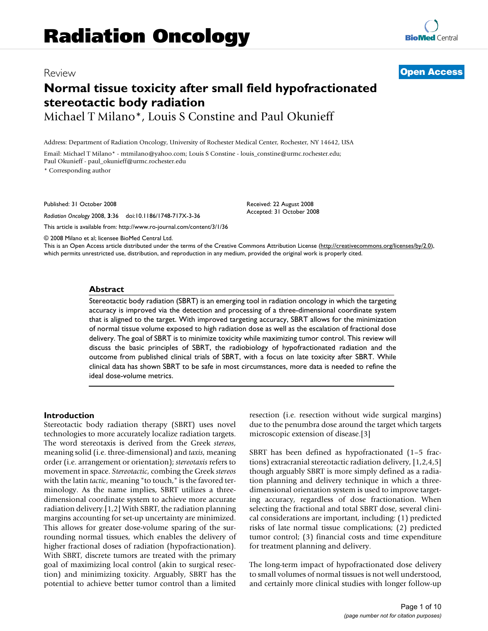# Review **[Open Access](http://www.biomedcentral.com/info/about/charter/)**

# **Normal tissue toxicity after small field hypofractionated stereotactic body radiation** Michael T Milano\*, Louis S Constine and Paul Okunieff

Address: Department of Radiation Oncology, University of Rochester Medical Center, Rochester, NY 14642, USA

Email: Michael T Milano\* - mtmilano@yahoo.com; Louis S Constine - louis\_constine@urmc.rochester.edu; Paul Okunieff - paul\_okunieff@urmc.rochester.edu

\* Corresponding author

Published: 31 October 2008

*Radiation Oncology* 2008, **3**:36 doi:10.1186/1748-717X-3-36

[This article is available from: http://www.ro-journal.com/content/3/1/36](http://www.ro-journal.com/content/3/1/36)

© 2008 Milano et al; licensee BioMed Central Ltd.

This is an Open Access article distributed under the terms of the Creative Commons Attribution License [\(http://creativecommons.org/licenses/by/2.0\)](http://creativecommons.org/licenses/by/2.0), which permits unrestricted use, distribution, and reproduction in any medium, provided the original work is properly cited.

Received: 22 August 2008 Accepted: 31 October 2008

#### **Abstract**

Stereotactic body radiation (SBRT) is an emerging tool in radiation oncology in which the targeting accuracy is improved via the detection and processing of a three-dimensional coordinate system that is aligned to the target. With improved targeting accuracy, SBRT allows for the minimization of normal tissue volume exposed to high radiation dose as well as the escalation of fractional dose delivery. The goal of SBRT is to minimize toxicity while maximizing tumor control. This review will discuss the basic principles of SBRT, the radiobiology of hypofractionated radiation and the outcome from published clinical trials of SBRT, with a focus on late toxicity after SBRT. While clinical data has shown SBRT to be safe in most circumstances, more data is needed to refine the ideal dose-volume metrics.

#### **Introduction**

Stereotactic body radiation therapy (SBRT) uses novel technologies to more accurately localize radiation targets. The word stereotaxis is derived from the Greek *stereos*, meaning solid (i.e. three-dimensional) and *taxis*, meaning order (i.e. arrangement or orientation); *stereotaxis* refers to movement in space. *Stereotactic*, combing the Greek *stereos* with the latin *tactic*, meaning "to touch," is the favored terminology. As the name implies, SBRT utilizes a threedimensional coordinate system to achieve more accurate radiation delivery.[1,2] With SBRT, the radiation planning margins accounting for set-up uncertainty are minimized. This allows for greater dose-volume sparing of the surrounding normal tissues, which enables the delivery of higher fractional doses of radiation (hypofractionation). With SBRT, discrete tumors are treated with the primary goal of maximizing local control (akin to surgical resection) and minimizing toxicity. Arguably, SBRT has the potential to achieve better tumor control than a limited resection (i.e. resection without wide surgical margins) due to the penumbra dose around the target which targets microscopic extension of disease.[3]

SBRT has been defined as hypofractionated (1–5 fractions) extracranial stereotactic radiation delivery, [1,2,4,5] though arguably SBRT is more simply defined as a radiation planning and delivery technique in which a threedimensional orientation system is used to improve targeting accuracy, regardless of dose fractionation. When selecting the fractional and total SBRT dose, several clinical considerations are important, including: (1) predicted risks of late normal tissue complications; (2) predicted tumor control; (3) financial costs and time expenditure for treatment planning and delivery.

The long-term impact of hypofractionated dose delivery to small volumes of normal tissues is not well understood, and certainly more clinical studies with longer follow-up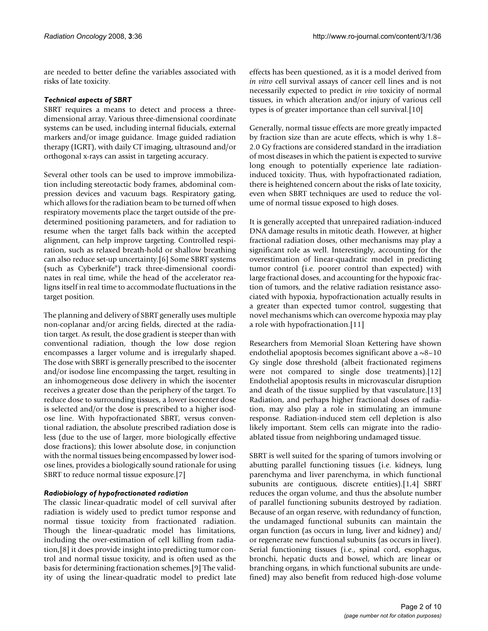are needed to better define the variables associated with risks of late toxicity.

#### *Technical aspects of SBRT*

SBRT requires a means to detect and process a threedimensional array. Various three-dimensional coordinate systems can be used, including internal fiducials, external markers and/or image guidance. Image guided radiation therapy (IGRT), with daily CT imaging, ultrasound and/or orthogonal x-rays can assist in targeting accuracy.

Several other tools can be used to improve immobilization including stereotactic body frames, abdominal compression devices and vacuum bags. Respiratory gating, which allows for the radiation beam to be turned off when respiratory movements place the target outside of the predetermined positioning parameters, and for radiation to resume when the target falls back within the accepted alignment, can help improve targeting. Controlled respiration, such as relaxed breath-hold or shallow breathing can also reduce set-up uncertainty.[6] Some SBRT systems (such as Cyberknife®) track three-dimensional coordinates in real time, while the head of the accelerator realigns itself in real time to accommodate fluctuations in the target position.

The planning and delivery of SBRT generally uses multiple non-coplanar and/or arcing fields, directed at the radiation target. As result, the dose gradient is steeper than with conventional radiation, though the low dose region encompasses a larger volume and is irregularly shaped. The dose with SBRT is generally prescribed to the isocenter and/or isodose line encompassing the target, resulting in an inhomogeneous dose delivery in which the isocenter receives a greater dose than the periphery of the target. To reduce dose to surrounding tissues, a lower isocenter dose is selected and/or the dose is prescribed to a higher isodose line. With hypofractionated SBRT, versus conventional radiation, the absolute prescribed radiation dose is less (due to the use of larger, more biologically effective dose fractions); this lower absolute dose, in conjunction with the normal tissues being encompassed by lower isodose lines, provides a biologically sound rationale for using SBRT to reduce normal tissue exposure.[7]

#### *Radiobiology of hypofractionated radiation*

The classic linear-quadratic model of cell survival after radiation is widely used to predict tumor response and normal tissue toxicity from fractionated radiation. Though the linear-quadratic model has limitations, including the over-estimation of cell killing from radiation,[8] it does provide insight into predicting tumor control and normal tissue toxicity, and is often used as the basis for determining fractionation schemes.[9] The validity of using the linear-quadratic model to predict late effects has been questioned, as it is a model derived from *in vitro* cell survival assays of cancer cell lines and is not necessarily expected to predict *in vivo* toxicity of normal tissues, in which alteration and/or injury of various cell types is of greater importance than cell survival.[10]

Generally, normal tissue effects are more greatly impacted by fraction size than are acute effects, which is why 1.8– 2.0 Gy fractions are considered standard in the irradiation of most diseases in which the patient is expected to survive long enough to potentially experience late radiationinduced toxicity. Thus, with hypofractionated radiation, there is heightened concern about the risks of late toxicity, even when SBRT techniques are used to reduce the volume of normal tissue exposed to high doses.

It is generally accepted that unrepaired radiation-induced DNA damage results in mitotic death. However, at higher fractional radiation doses, other mechanisms may play a significant role as well. Interestingly, accounting for the overestimation of linear-quadratic model in predicting tumor control (i.e. poorer control than expected) with large fractional doses, and accounting for the hypoxic fraction of tumors, and the relative radiation resistance associated with hypoxia, hypofractionation actually results in a greater than expected tumor control, suggesting that novel mechanisms which can overcome hypoxia may play a role with hypofractionation.[11]

Researchers from Memorial Sloan Kettering have shown endothelial apoptosis becomes significant above a  $\sim$ 8–10 Gy single dose threshold (albeit fractionated regimens were not compared to single dose treatments).[12] Endothelial apoptosis results in microvascular disruption and death of the tissue supplied by that vasculature.[13] Radiation, and perhaps higher fractional doses of radiation, may also play a role in stimulating an immune response. Radiation-induced stem cell depletion is also likely important. Stem cells can migrate into the radioablated tissue from neighboring undamaged tissue.

SBRT is well suited for the sparing of tumors involving or abutting parallel functioning tissues (i.e. kidneys, lung parenchyma and liver parenchyma, in which functional subunits are contiguous, discrete entities).[1,4] SBRT reduces the organ volume, and thus the absolute number of parallel functioning subunits destroyed by radiation. Because of an organ reserve, with redundancy of function, the undamaged functional subunits can maintain the organ function (as occurs in lung, liver and kidney) and/ or regenerate new functional subunits (as occurs in liver). Serial functioning tissues (i.e., spinal cord, esophagus, bronchi, hepatic ducts and bowel, which are linear or branching organs, in which functional subunits are undefined) may also benefit from reduced high-dose volume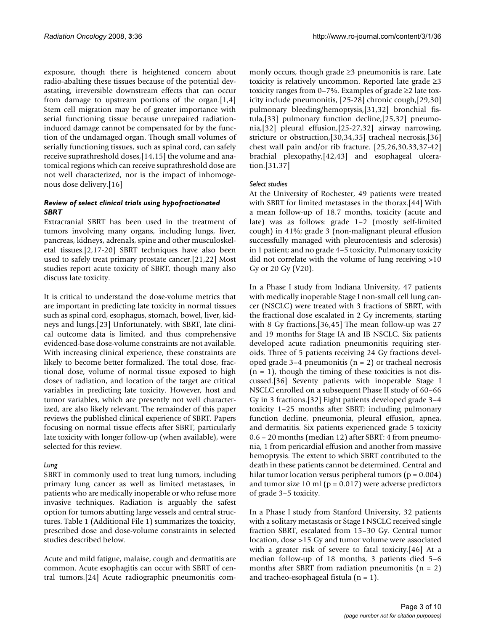exposure, though there is heightened concern about radio-abalting these tissues because of the potential devastating, irreversible downstream effects that can occur from damage to upstream portions of the organ.[1,4] Stem cell migration may be of greater importance with serial functioning tissue because unrepaired radiationinduced damage cannot be compensated for by the function of the undamaged organ. Though small volumes of serially functioning tissues, such as spinal cord, can safely receive suprathreshold doses,[14,15] the volume and anatomical regions which can receive suprathreshold dose are not well characterized, nor is the impact of inhomogenous dose delivery.[16]

#### *Review of select clinical trials using hypofractionated SBRT*

Extracranial SBRT has been used in the treatment of tumors involving many organs, including lungs, liver, pancreas, kidneys, adrenals, spine and other musculoskeletal tissues.[2,17-20] SBRT techniques have also been used to safely treat primary prostate cancer.[21,22] Most studies report acute toxicity of SBRT, though many also discuss late toxicity.

It is critical to understand the dose-volume metrics that are important in predicting late toxicity in normal tissues such as spinal cord, esophagus, stomach, bowel, liver, kidneys and lungs.[23] Unfortunately, with SBRT, late clinical outcome data is limited, and thus comprehensive evidenced-base dose-volume constraints are not available. With increasing clinical experience, these constraints are likely to become better formalized. The total dose, fractional dose, volume of normal tissue exposed to high doses of radiation, and location of the target are critical variables in predicting late toxicity. However, host and tumor variables, which are presently not well characterized, are also likely relevant. The remainder of this paper reviews the published clinical experience of SBRT. Papers focusing on normal tissue effects after SBRT, particularly late toxicity with longer follow-up (when available), were selected for this review.

#### *Lung*

SBRT in commonly used to treat lung tumors, including primary lung cancer as well as limited metastases, in patients who are medically inoperable or who refuse more invasive techniques. Radiation is arguably the safest option for tumors abutting large vessels and central structures. Table 1 (Additional File 1) summarizes the toxicity, prescribed dose and dose-volume constraints in selected studies described below.

Acute and mild fatigue, malaise, cough and dermatitis are common. Acute esophagitis can occur with SBRT of central tumors.[24] Acute radiographic pneumonitis commonly occurs, though grade  $\geq$ 3 pneumonitis is rare. Late toxicity is relatively uncommon. Reported late grade  $\geq 3$ toxicity ranges from 0–7%. Examples of grade ≥2 late toxicity include pneumonitis, [25-28] chronic cough,[29,30] pulmonary bleeding/hemoptysis,[31,32] bronchial fistula,[33] pulmonary function decline,[25,32] pneumonia,[32] pleural effusion,[25-27,32] airway narrowing, stricture or obstruction,[30,34,35] tracheal necrosis,[36] chest wall pain and/or rib fracture. [25,26,30,33,37-42] brachial plexopathy,[42,43] and esophageal ulceration.[31,37]

#### *Select studies*

At the University of Rochester, 49 patients were treated with SBRT for limited metastases in the thorax.[44] With a mean follow-up of 18.7 months, toxicity (acute and late) was as follows: grade 1–2 (mostly self-limited cough) in 41%; grade 3 (non-malignant pleural effusion successfully managed with pleurocentesis and sclerosis) in 1 patient; and no grade 4–5 toxicity. Pulmonary toxicity did not correlate with the volume of lung receiving >10 Gy or 20 Gy (V20).

In a Phase I study from Indiana University, 47 patients with medically inoperable Stage I non-small cell lung cancer (NSCLC) were treated with 3 fractions of SBRT, with the fractional dose escalated in 2 Gy increments, starting with 8 Gy fractions.[36,45] The mean follow-up was 27 and 19 months for Stage IA and IB NSCLC. Six patients developed acute radiation pneumonitis requiring steroids. Three of 5 patients receiving 24 Gy fractions developed grade  $3-4$  pneumonitis (n = 2) or tracheal necrosis  $(n = 1)$ , though the timing of these toxicities is not discussed.[36] Seventy patients with inoperable Stage I NSCLC enrolled on a subsequent Phase II study of 60–66 Gy in 3 fractions.[32] Eight patients developed grade 3–4 toxicity 1–25 months after SBRT; including pulmonary function decline, pneumonia, pleural effusion, apnea, and dermatitis. Six patients experienced grade 5 toxicity 0.6 – 20 months (median 12) after SBRT: 4 from pneumonia, 1 from pericardial effusion and another from massive hemoptysis. The extent to which SBRT contributed to the death in these patients cannot be determined. Central and hilar tumor location versus peripheral tumors ( $p = 0.004$ ) and tumor size 10 ml ( $p = 0.017$ ) were adverse predictors of grade 3–5 toxicity.

In a Phase I study from Stanford University, 32 patients with a solitary metastasis or Stage I NSCLC received single fraction SBRT, escalated from 15–30 Gy. Central tumor location, dose >15 Gy and tumor volume were associated with a greater risk of severe to fatal toxicity.[46] At a median follow-up of 18 months, 3 patients died 5–6 months after SBRT from radiation pneumonitis  $(n = 2)$ and tracheo-esophageal fistula  $(n = 1)$ .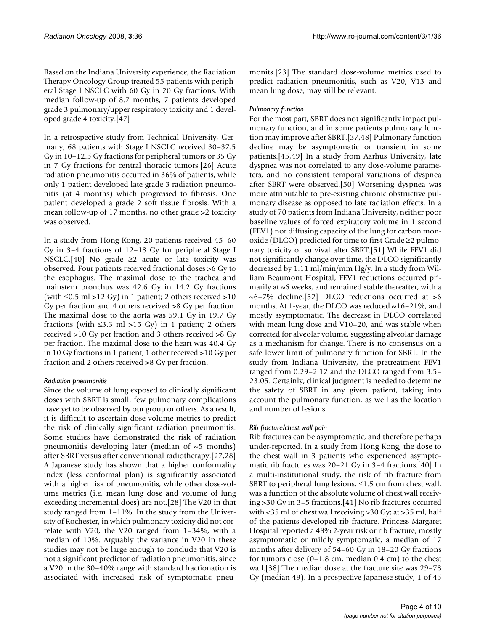Based on the Indiana University experience, the Radiation Therapy Oncology Group treated 55 patients with peripheral Stage I NSCLC with 60 Gy in 20 Gy fractions. With median follow-up of 8.7 months, 7 patients developed grade 3 pulmonary/upper respiratory toxicity and 1 developed grade 4 toxicity.[47]

In a retrospective study from Technical University, Germany, 68 patients with Stage I NSCLC received 30–37.5 Gy in 10–12.5 Gy fractions for peripheral tumors or 35 Gy in 7 Gy fractions for central thoracic tumors.[26] Acute radiation pneumonitis occurred in 36% of patients, while only 1 patient developed late grade 3 radiation pneumonitis (at 4 months) which progressed to fibrosis. One patient developed a grade 2 soft tissue fibrosis. With a mean follow-up of 17 months, no other grade >2 toxicity was observed.

In a study from Hong Kong, 20 patients received 45–60 Gy in 3–4 fractions of 12–18 Gy for peripheral Stage I NSCLC.[40] No grade  $\geq$  2 acute or late toxicity was observed. Four patients received fractional doses >6 Gy to the esophagus. The maximal dose to the trachea and mainstem bronchus was 42.6 Gy in 14.2 Gy fractions (with ≤0.5 ml >12 Gy) in 1 patient; 2 others received >10 Gy per fraction and 4 others received >8 Gy per fraction. The maximal dose to the aorta was 59.1 Gy in 19.7 Gy fractions (with  $\leq$ 3.3 ml >15 Gy) in 1 patient; 2 others received >10 Gy per fraction and 3 others received >8 Gy per fraction. The maximal dose to the heart was 40.4 Gy in 10 Gy fractions in 1 patient; 1 other received >10 Gy per fraction and 2 others received >8 Gy per fraction.

#### *Radiation pneumonitis*

Since the volume of lung exposed to clinically significant doses with SBRT is small, few pulmonary complications have yet to be observed by our group or others. As a result, it is difficult to ascertain dose-volume metrics to predict the risk of clinically significant radiation pneumonitis. Some studies have demonstrated the risk of radiation pneumonitis developing later (median of  $~5$  months) after SBRT versus after conventional radiotherapy.[27,28] A Japanese study has shown that a higher conformality index (less conformal plan) is significantly associated with a higher risk of pneumonitis, while other dose-volume metrics (i.e. mean lung dose and volume of lung exceeding incremental does) are not.[28] The V20 in that study ranged from 1–11%. In the study from the University of Rochester, in which pulmonary toxicity did not correlate with V20, the V20 ranged from 1–34%, with a median of 10%. Arguably the variance in V20 in these studies may not be large enough to conclude that V20 is not a significant predictor of radiation pneumonitis, since a V20 in the 30–40% range with standard fractionation is associated with increased risk of symptomatic pneumonits.[23] The standard dose-volume metrics used to predict radiation pneumonitis, such as V20, V13 and mean lung dose, may still be relevant.

### *Pulmonary function*

For the most part, SBRT does not significantly impact pulmonary function, and in some patients pulmonary function may improve after SBRT.[37,48] Pulmonary function decline may be asymptomatic or transient in some patients.[45,49] In a study from Aarhus University, late dyspnea was not correlated to any dose-volume parameters, and no consistent temporal variations of dyspnea after SBRT were observed.[50] Worsening dyspnea was more attributable to pre-existing chronic obstructive pulmonary disease as opposed to late radiation effects. In a study of 70 patients from Indiana University, neither poor baseline values of forced expiratory volume in 1 second (FEV1) nor diffusing capacity of the lung for carbon monoxide (DLCO) predicted for time to first Grade ≥2 pulmonary toxicity or survival after SBRT.[51] While FEV1 did not significantly change over time, the DLCO significantly decreased by 1.11 ml/min/mm Hg/y. In a study from William Beaumont Hospital, FEV1 reductions occurred primarily at  $~6$  weeks, and remained stable thereafter, with a ~6–7% decline.[52] DLCO reductions occurred at >6 months. At 1-year, the DLCO was reduced  $\sim$ 16–21%, and mostly asymptomatic. The decrease in DLCO correlated with mean lung dose and V10–20, and was stable when corrected for alveolar volume, suggesting alveolar damage as a mechanism for change. There is no consensus on a safe lower limit of pulmonary function for SBRT. In the study from Indiana University, the pretreatment FEV1 ranged from 0.29–2.12 and the DLCO ranged from 3.5– 23.05. Certainly, clinical judgment is needed to determine the safety of SBRT in any given patient, taking into account the pulmonary function, as well as the location and number of lesions.

#### *Rib fracture/chest wall pain*

Rib fractures can be asymptomatic, and therefore perhaps under-reported. In a study from Hong Kong, the dose to the chest wall in 3 patients who experienced asymptomatic rib fractures was 20–21 Gy in 3–4 fractions.[40] In a multi-institutional study, the risk of rib fracture from SBRT to peripheral lung lesions,  $\leq 1.5$  cm from chest wall, was a function of the absolute volume of chest wall receiving >30 Gy in 3–5 fractions.[41] No rib fractures occurred with <35 ml of chest wall receiving >30 Gy; at >35 ml, half of the patients developed rib fracture. Princess Margaret Hospital reported a 48% 2-year risk or rib fracture, mostly asymptomatic or mildly symptomatic, a median of 17 months after delivery of 54–60 Gy in 18–20 Gy fractions for tumors close  $(0-1.8 \text{ cm}, \text{median } 0.4 \text{ cm})$  to the chest wall.[38] The median dose at the fracture site was 29–78 Gy (median 49). In a prospective Japanese study, 1 of 45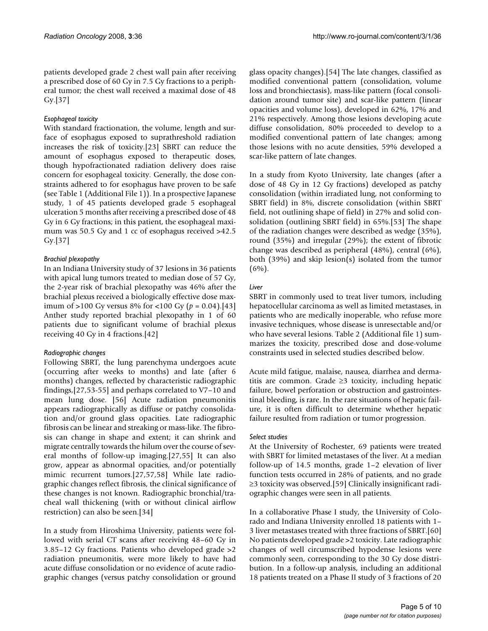patients developed grade 2 chest wall pain after receiving a prescribed dose of 60 Gy in 7.5 Gy fractions to a peripheral tumor; the chest wall received a maximal dose of 48 Gy.[37]

#### *Esophageal toxicity*

With standard fractionation, the volume, length and surface of esophagus exposed to suprathreshold radiation increases the risk of toxicity.[23] SBRT can reduce the amount of esophagus exposed to therapeutic doses, though hypofractionated radiation delivery does raise concern for esophageal toxicity. Generally, the dose constraints adhered to for esophagus have proven to be safe (see Table 1 (Additional File 1)). In a prospective Japanese study, 1 of 45 patients developed grade 5 esophageal ulceration 5 months after receiving a prescribed dose of 48 Gy in 6 Gy fractions; in this patient, the esophageal maximum was 50.5 Gy and 1 cc of esophagus received >42.5 Gy.[37]

### *Brachial plexopathy*

In an Indiana University study of 37 lesions in 36 patients with apical lung tumors treated to median dose of 57 Gy, the 2-year risk of brachial plexopathy was 46% after the brachial plexus received a biologically effective dose maximum of >100 Gy versus 8% for <100 Gy (*p* = 0.04).[43] Anther study reported brachial plexopathy in 1 of 60 patients due to significant volume of brachial plexus receiving 40 Gy in 4 fractions.[42]

## *Radiographic changes*

Following SBRT, the lung parenchyma undergoes acute (occurring after weeks to months) and late (after 6 months) changes, reflected by characteristic radiographic findings,[27,53-55] and perhaps correlated to V7–10 and mean lung dose. [56] Acute radiation pneumonitis appears radiographically as diffuse or patchy consolidation and/or ground glass opacities. Late radiographic fibrosis can be linear and streaking or mass-like. The fibrosis can change in shape and extent; it can shrink and migrate centrally towards the hilum over the course of several months of follow-up imaging.[27,55] It can also grow, appear as abnormal opacities, and/or potentially mimic recurrent tumors.[27,57,58] While late radiographic changes reflect fibrosis, the clinical significance of these changes is not known. Radiographic bronchial/tracheal wall thickening (with or without clinical airflow restriction) can also be seen.[34]

In a study from Hiroshima University, patients were followed with serial CT scans after receiving 48–60 Gy in 3.85–12 Gy fractions. Patients who developed grade >2 radiation pneumonitis, were more likely to have had acute diffuse consolidation or no evidence of acute radiographic changes (versus patchy consolidation or ground

glass opacity changes).[54] The late changes, classified as modified conventional pattern (consolidation, volume loss and bronchiectasis), mass-like pattern (focal consolidation around tumor site) and scar-like pattern (linear opacities and volume loss), developed in 62%, 17% and 21% respectively. Among those lesions developing acute diffuse consolidation, 80% proceeded to develop to a modified conventional pattern of late changes; among those lesions with no acute densities, 59% developed a scar-like pattern of late changes.

In a study from Kyoto University, late changes (after a dose of 48 Gy in 12 Gy fractions) developed as patchy consolidation (within irradiated lung, not conforming to SBRT field) in 8%, discrete consolidation (within SBRT field, not outlining shape of field) in 27% and solid consolidation (outlining SBRT field) in 65%.[53] The shape of the radiation changes were described as wedge (35%), round (35%) and irregular (29%); the extent of fibrotic change was described as peripheral (48%), central (6%), both (39%) and skip lesion(s) isolated from the tumor  $(6\%)$ .

### *Liver*

SBRT in commonly used to treat liver tumors, including hepatocellular carcinoma as well as limited metastases, in patients who are medically inoperable, who refuse more invasive techniques, whose disease is unresectable and/or who have several lesions. Table 2 (Additional file 1) summarizes the toxicity, prescribed dose and dose-volume constraints used in selected studies described below.

Acute mild fatigue, malaise, nausea, diarrhea and dermatitis are common. Grade ≥3 toxicity, including hepatic failure, bowel perforation or obstruction and gastrointestinal bleeding, is rare. In the rare situations of hepatic failure, it is often difficult to determine whether hepatic failure resulted from radiation or tumor progression.

#### *Select studies*

At the University of Rochester, 69 patients were treated with SBRT for limited metastases of the liver. At a median follow-up of 14.5 months, grade 1–2 elevation of liver function tests occurred in 28% of patients, and no grade ≥3 toxicity was observed.[59] Clinically insignificant radiographic changes were seen in all patients.

In a collaborative Phase I study, the University of Colorado and Indiana University enrolled 18 patients with 1– 3 liver metastases treated with three fractions of SBRT.[60] No patients developed grade >2 toxicity. Late radiographic changes of well circumscribed hypodense lesions were commonly seen, corresponding to the 30 Gy dose distribution. In a follow-up analysis, including an additional 18 patients treated on a Phase II study of 3 fractions of 20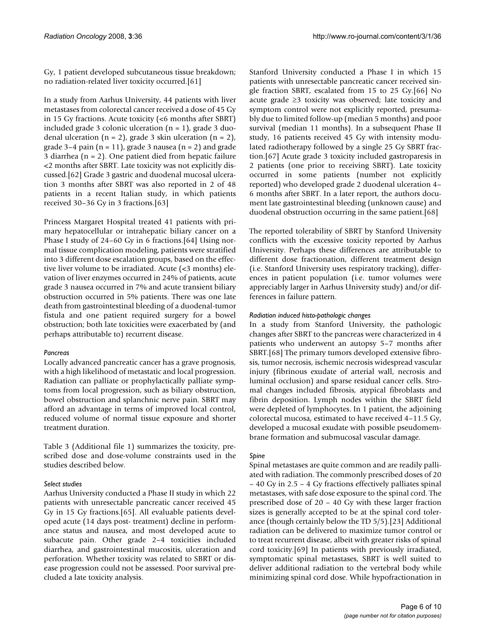Gy, 1 patient developed subcutaneous tissue breakdown; no radiation-related liver toxicity occurred.[61]

In a study from Aarhus University, 44 patients with liver metastases from colorectal cancer received a dose of 45 Gy in 15 Gy fractions. Acute toxicity  $\leq 6$  months after SBRT) included grade 3 colonic ulceration  $(n = 1)$ , grade 3 duodenal ulceration (n = 2), grade 3 skin ulceration (n = 2), grade 3–4 pain ( $n = 11$ ), grade 3 nausea ( $n = 2$ ) and grade 3 diarrhea (n = 2). One patient died from hepatic failure <2 months after SBRT. Late toxicity was not explicitly discussed.[62] Grade 3 gastric and duodenal mucosal ulceration 3 months after SBRT was also reported in 2 of 48 patients in a recent Italian study, in which patients received 30–36 Gy in 3 fractions.[63]

Princess Margaret Hospital treated 41 patients with primary hepatocellular or intrahepatic biliary cancer on a Phase I study of 24–60 Gy in 6 fractions.[64] Using normal tissue complication modeling, patients were stratified into 3 different dose escalation groups, based on the effective liver volume to be irradiated. Acute (<3 months) elevation of liver enzymes occurred in 24% of patients, acute grade 3 nausea occurred in 7% and acute transient biliary obstruction occurred in 5% patients. There was one late death from gastrointestinal bleeding of a duodenal-tumor fistula and one patient required surgery for a bowel obstruction; both late toxicities were exacerbated by (and perhaps attributable to) recurrent disease.

#### *Pancreas*

Locally advanced pancreatic cancer has a grave prognosis, with a high likelihood of metastatic and local progression. Radiation can palliate or prophylactically palliate symptoms from local progression, such as biliary obstruction, bowel obstruction and splanchnic nerve pain. SBRT may afford an advantage in terms of improved local control, reduced volume of normal tissue exposure and shorter treatment duration.

Table 3 (Additional file 1) summarizes the toxicity, prescribed dose and dose-volume constraints used in the studies described below.

#### *Select studies*

Aarhus University conducted a Phase II study in which 22 patients with unresectable pancreatic cancer received 45 Gy in 15 Gy fractions.[65]. All evaluable patients developed acute (14 days post- treatment) decline in performance status and nausea, and most developed acute to subacute pain. Other grade 2–4 toxicities included diarrhea, and gastrointestinal mucositis, ulceration and perforation. Whether toxicity was related to SBRT or disease progression could not be assessed. Poor survival precluded a late toxicity analysis.

Stanford University conducted a Phase I in which 15 patients with unresectable pancreatic cancer received single fraction SBRT, escalated from 15 to 25 Gy.[66] No acute grade ≥3 toxicity was observed; late toxicity and symptom control were not explicitly reported, presumably due to limited follow-up (median 5 months) and poor survival (median 11 months). In a subsequent Phase II study, 16 patients received 45 Gy with intensity modulated radiotherapy followed by a single 25 Gy SBRT fraction.[67] Acute grade 3 toxicity included gastroparesis in 2 patients (one prior to receiving SBRT). Late toxicity occurred in some patients (number not explicitly reported) who developed grade 2 duodenal ulceration 4– 6 months after SBRT. In a later report, the authors document late gastrointestinal bleeding (unknown cause) and duodenal obstruction occurring in the same patient.[68]

The reported tolerability of SBRT by Stanford University conflicts with the excessive toxicity reported by Aarhus University. Perhaps these differences are attributable to different dose fractionation, different treatment design (i.e. Stanford University uses respiratory tracking), differences in patient population (i.e. tumor volumes were appreciably larger in Aarhus University study) and/or differences in failure pattern.

#### *Radiation induced histo-pathologic changes*

In a study from Stanford University, the pathologic changes after SBRT to the pancreas were characterized in 4 patients who underwent an autopsy 5–7 months after SBRT.[68] The primary tumors developed extensive fibrosis, tumor necrosis, ischemic necrosis widespread vascular injury (fibrinous exudate of arterial wall, necrosis and luminal occlusion) and sparse residual cancer cells. Stromal changes included fibrosis, atypical fibroblasts and fibrin deposition. Lymph nodes within the SBRT field were depleted of lymphocytes. In 1 patient, the adjoining colorectal mucosa, estimated to have received 4–11.5 Gy, developed a mucosal exudate with possible pseudomembrane formation and submucosal vascular damage.

#### *Spine*

Spinal metastases are quite common and are readily palliated with radiation. The commonly prescribed doses of 20 – 40 Gy in 2.5 – 4 Gy fractions effectively palliates spinal metastases, with safe dose exposure to the spinal cord. The prescribed dose of 20 – 40 Gy with these larger fraction sizes is generally accepted to be at the spinal cord tolerance (though certainly below the TD 5/5).[23] Additional radiation can be delivered to maximize tumor control or to treat recurrent disease, albeit with greater risks of spinal cord toxicity.[69] In patients with previously irradiated, symptomatic spinal metastases, SBRT is well suited to deliver additional radiation to the vertebral body while minimizing spinal cord dose. While hypofractionation in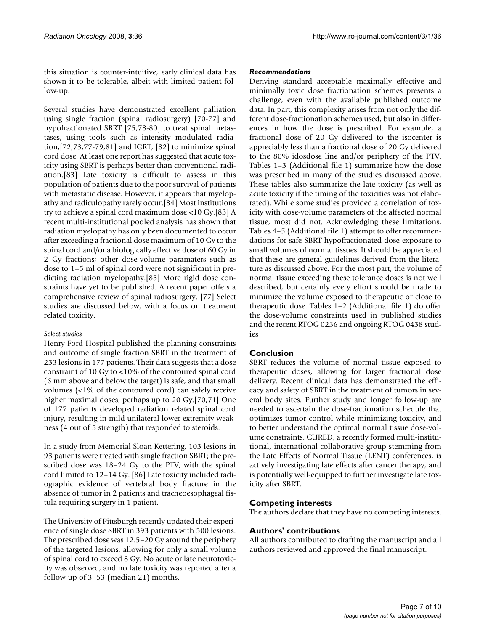this situation is counter-intuitive, early clinical data has shown it to be tolerable, albeit with limited patient follow-up.

Several studies have demonstrated excellent palliation using single fraction (spinal radiosurgery) [70-77] and hypofractionated SBRT [75,78-80] to treat spinal metastases, using tools such as intensity modulated radiation,[72,73,77-79,81] and IGRT, [82] to minimize spinal cord dose. At least one report has suggested that acute toxicity using SBRT is perhaps better than conventional radiation.[83] Late toxicity is difficult to assess in this population of patients due to the poor survival of patients with metastatic disease. However, it appears that myelopathy and radiculopathy rarely occur.[84] Most institutions try to achieve a spinal cord maximum dose <10 Gy.[83] A recent multi-institutional pooled analysis has shown that radiation myelopathy has only been documented to occur after exceeding a fractional dose maximum of 10 Gy to the spinal cord and/or a biologically effective dose of 60 Gy in 2 Gy fractions; other dose-volume paramaters such as dose to 1–5 ml of spinal cord were not significant in predicting radiation myelopathy.[85] More rigid dose constraints have yet to be published. A recent paper offers a comprehensive review of spinal radiosurgery. [77] Select studies are discussed below, with a focus on treatment related toxicity.

#### *Select studies*

Henry Ford Hospital published the planning constraints and outcome of single fraction SBRT in the treatment of 233 lesions in 177 patients. Their data suggests that a dose constraint of 10 Gy to <10% of the contoured spinal cord (6 mm above and below the target) is safe, and that small volumes (<1% of the contoured cord) can safely receive higher maximal doses, perhaps up to 20 Gy.[70,71] One of 177 patients developed radiation related spinal cord injury, resulting in mild unilateral lower extremity weakness (4 out of 5 strength) that responded to steroids.

In a study from Memorial Sloan Kettering, 103 lesions in 93 patients were treated with single fraction SBRT; the prescribed dose was 18–24 Gy to the PTV, with the spinal cord limited to 12–14 Gy. [86] Late toxicity included radiographic evidence of vertebral body fracture in the absence of tumor in 2 patients and tracheoesophageal fistula requiring surgery in 1 patient.

The University of Pittsburgh recently updated their experience of single dose SBRT in 393 patients with 500 lesions. The prescribed dose was 12.5–20 Gy around the periphery of the targeted lesions, allowing for only a small volume of spinal cord to exceed 8 Gy. No acute or late neurotoxicity was observed, and no late toxicity was reported after a follow-up of 3–53 (median 21) months.

#### *Recommendations*

Deriving standard acceptable maximally effective and minimally toxic dose fractionation schemes presents a challenge, even with the available published outcome data. In part, this complexity arises from not only the different dose-fractionation schemes used, but also in differences in how the dose is prescribed. For example, a fractional dose of 20 Gy delivered to the isocenter is appreciably less than a fractional dose of 20 Gy delivered to the 80% idosdose line and/or periphery of the PTV. Tables 1–3 (Additional file 1) summarize how the dose was prescribed in many of the studies discussed above. These tables also summarize the late toxicity (as well as acute toxicity if the timing of the toxicities was not elaborated). While some studies provided a correlation of toxicity with dose-volume parameters of the affected normal tissue, most did not. Acknowledging these limitations, Tables 4–5 (Additional file 1) attempt to offer recommendations for safe SBRT hypofractionated dose exposure to small volumes of normal tissues. It should be appreciated that these are general guidelines derived from the literature as discussed above. For the most part, the volume of normal tissue exceeding these tolerance doses is not well described, but certainly every effort should be made to minimize the volume exposed to therapeutic or close to therapeutic dose. Tables 1–2 (Additional file 1) do offer the dose-volume constraints used in published studies and the recent RTOG 0236 and ongoing RTOG 0438 studies

# **Conclusion**

SBRT reduces the volume of normal tissue exposed to therapeutic doses, allowing for larger fractional dose delivery. Recent clinical data has demonstrated the efficacy and safety of SBRT in the treatment of tumors in several body sites. Further study and longer follow-up are needed to ascertain the dose-fractionation schedule that optimizes tumor control while minimizing toxicity, and to better understand the optimal normal tissue dose-volume constraints. CURED, a recently formed multi-institutional, international collaborative group stemming from the Late Effects of Normal Tissue (LENT) conferences, is actively investigating late effects after cancer therapy, and is potentially well-equipped to further investigate late toxicity after SBRT.

## **Competing interests**

The authors declare that they have no competing interests.

#### **Authors' contributions**

All authors contributed to drafting the manuscript and all authors reviewed and approved the final manuscript.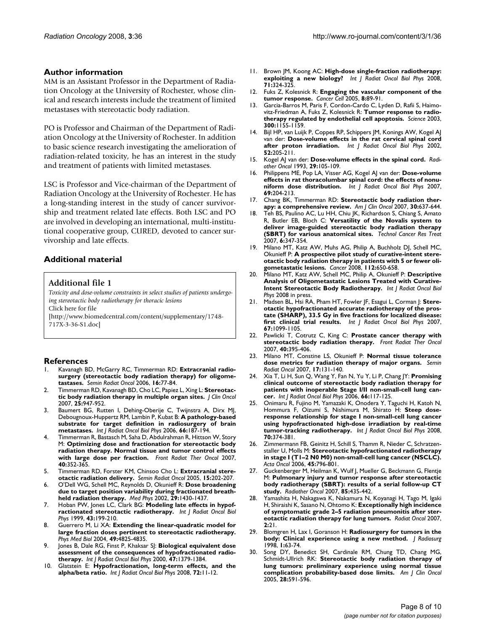#### **Author information**

MM is an Assistant Professor in the Department of Radiation Oncology at the University of Rochester, whose clinical and research interests include the treatment of limited metastases with stereotactic body radiation.

PO is Professor and Chairman of the Department of Radiation Oncology at the University of Rochester. In addition to basic science research investigating the amelioration of radiation-related toxicity, he has an interest in the study and treatment of patients with limited metastases.

LSC is Professor and Vice-chairman of the Department of Radiation Oncology at the University of Rochester. He has a long-standing interest in the study of cancer survivorship and treatment related late effects. Both LSC and PO are involved in developing an international, multi-institutional cooperative group, CURED, devoted to cancer survivorship and late effects.

#### **Additional material**

#### **Additional file 1**

*Toxicity and dose-volume constraints in select studies of patients undergoing stereotactic body radiotherapy for thoracic lesions* Click here for file [\[http://www.biomedcentral.com/content/supplementary/1748-](http://www.biomedcentral.com/content/supplementary/1748-717X-3-36-S1.doc) 717X-3-36-S1.doc]

#### **References**

- 1. Kavanagh BD, McGarry RC, Timmerman RD: **[Extracranial radio](http://www.ncbi.nlm.nih.gov/entrez/query.fcgi?cmd=Retrieve&db=PubMed&dopt=Abstract&list_uids=16564443)[surgery \(stereotactic body radiation therapy\) for oligome](http://www.ncbi.nlm.nih.gov/entrez/query.fcgi?cmd=Retrieve&db=PubMed&dopt=Abstract&list_uids=16564443)[tastases.](http://www.ncbi.nlm.nih.gov/entrez/query.fcgi?cmd=Retrieve&db=PubMed&dopt=Abstract&list_uids=16564443)** *Semin Radiat Oncol* 2006, **16:**77-84.
- 2. Timmerman RD, Kavanagh BD, Cho LC, Papiez L, Xing L: **[Stereotac](http://www.ncbi.nlm.nih.gov/entrez/query.fcgi?cmd=Retrieve&db=PubMed&dopt=Abstract&list_uids=17350943)[tic body radiation therapy in multiple organ sites.](http://www.ncbi.nlm.nih.gov/entrez/query.fcgi?cmd=Retrieve&db=PubMed&dopt=Abstract&list_uids=17350943)** *J Clin Oncol* 2007, **25:**947-952.
- 3. Baumert BG, Rutten I, Dehing-Oberije C, Twijnstra A, Dirx MJ, Debougnoux-Huppertz RM, Lambin P, Kubat B: **[A pathology-based](http://www.ncbi.nlm.nih.gov/entrez/query.fcgi?cmd=Retrieve&db=PubMed&dopt=Abstract&list_uids=16814946) [substrate for target definition in radiosurgery of brain](http://www.ncbi.nlm.nih.gov/entrez/query.fcgi?cmd=Retrieve&db=PubMed&dopt=Abstract&list_uids=16814946) [metastases.](http://www.ncbi.nlm.nih.gov/entrez/query.fcgi?cmd=Retrieve&db=PubMed&dopt=Abstract&list_uids=16814946)** *Int J Radiat Oncol Biol Phys* 2006, **66:**187-194.
- 4. Timmerman R, Bastasch M, Saha D, Abdulrahman R, Hittson W, Story M: **[Optimizing dose and fractionation for stereotactic body](http://www.ncbi.nlm.nih.gov/entrez/query.fcgi?cmd=Retrieve&db=PubMed&dopt=Abstract&list_uids=17641519) [radiation therapy. Normal tissue and tumor control effects](http://www.ncbi.nlm.nih.gov/entrez/query.fcgi?cmd=Retrieve&db=PubMed&dopt=Abstract&list_uids=17641519) [with large dose per fraction.](http://www.ncbi.nlm.nih.gov/entrez/query.fcgi?cmd=Retrieve&db=PubMed&dopt=Abstract&list_uids=17641519)** *Front Radiat Ther Oncol* 2007, **40:**352-365.
- 5. Timmerman RD, Forster KM, Chinsoo Cho L: **[Extracranial stere](http://www.ncbi.nlm.nih.gov/entrez/query.fcgi?cmd=Retrieve&db=PubMed&dopt=Abstract&list_uids=15983945)[otactic radiation delivery.](http://www.ncbi.nlm.nih.gov/entrez/query.fcgi?cmd=Retrieve&db=PubMed&dopt=Abstract&list_uids=15983945)** *Semin Radiat Oncol* 2005, **15:**202-207.
- 6. O'Dell WG, Schell MC, Reynolds D, Okunieff R: **[Dose broadening](http://www.ncbi.nlm.nih.gov/entrez/query.fcgi?cmd=Retrieve&db=PubMed&dopt=Abstract&list_uids=12148723) [due to target position variability during fractionated breath](http://www.ncbi.nlm.nih.gov/entrez/query.fcgi?cmd=Retrieve&db=PubMed&dopt=Abstract&list_uids=12148723)[held radiation therapy.](http://www.ncbi.nlm.nih.gov/entrez/query.fcgi?cmd=Retrieve&db=PubMed&dopt=Abstract&list_uids=12148723)** *Med Phys* 2002, **29:**1430-1437.
- 7. Hoban PW, Jones LC, Clark BG: **[Modeling late effects in hypof](http://www.ncbi.nlm.nih.gov/entrez/query.fcgi?cmd=Retrieve&db=PubMed&dopt=Abstract&list_uids=9989527)[ractionated stereotactic radiotherapy.](http://www.ncbi.nlm.nih.gov/entrez/query.fcgi?cmd=Retrieve&db=PubMed&dopt=Abstract&list_uids=9989527)** *Int J Radiat Oncol Biol Phys* 1999, **43:**199-210.
- 8. Guerrero M, Li XA: **[Extending the linear-quadratic model for](http://www.ncbi.nlm.nih.gov/entrez/query.fcgi?cmd=Retrieve&db=PubMed&dopt=Abstract&list_uids=15566178) [large fraction doses pertinent to stereotactic radiotherapy.](http://www.ncbi.nlm.nih.gov/entrez/query.fcgi?cmd=Retrieve&db=PubMed&dopt=Abstract&list_uids=15566178)** *Phys Med Biol* 2004, **49:**4825-4835.
- 9. Jones B, Dale RG, Finst P, Khaksar SJ: **[Biological equivalent dose](http://www.ncbi.nlm.nih.gov/entrez/query.fcgi?cmd=Retrieve&db=PubMed&dopt=Abstract&list_uids=10889393) [assessment of the consequences of hypofractionated radio](http://www.ncbi.nlm.nih.gov/entrez/query.fcgi?cmd=Retrieve&db=PubMed&dopt=Abstract&list_uids=10889393)[therapy.](http://www.ncbi.nlm.nih.gov/entrez/query.fcgi?cmd=Retrieve&db=PubMed&dopt=Abstract&list_uids=10889393)** *Int J Radiat Oncol Biol Phys* 2000, **47:**1379-1384.
- 10. Glatstein E: **[Hypofractionation, long-term effects, and the](http://www.ncbi.nlm.nih.gov/entrez/query.fcgi?cmd=Retrieve&db=PubMed&dopt=Abstract&list_uids=18722259) [alpha/beta ratio.](http://www.ncbi.nlm.nih.gov/entrez/query.fcgi?cmd=Retrieve&db=PubMed&dopt=Abstract&list_uids=18722259)** *Int J Radiat Oncol Biol Phys* 2008, **72:**11-12.
- 11. Brown JM, Koong AC: **[High-dose single-fraction radiotherapy:](http://www.ncbi.nlm.nih.gov/entrez/query.fcgi?cmd=Retrieve&db=PubMed&dopt=Abstract&list_uids=18474308) [exploiting a new biology?](http://www.ncbi.nlm.nih.gov/entrez/query.fcgi?cmd=Retrieve&db=PubMed&dopt=Abstract&list_uids=18474308)** *Int J Radiat Oncol Biol Phys* 2008, **71:**324-325.
- 12. Fuks Z, Kolesnick R: **[Engaging the vascular component of the](http://www.ncbi.nlm.nih.gov/entrez/query.fcgi?cmd=Retrieve&db=PubMed&dopt=Abstract&list_uids=16098459) [tumor response.](http://www.ncbi.nlm.nih.gov/entrez/query.fcgi?cmd=Retrieve&db=PubMed&dopt=Abstract&list_uids=16098459)** *Cancer Cell* 2005, **8:**89-91.
- 13. Garcia-Barros M, Paris F, Cordon-Cardo C, Lyden D, Rafii S, Haimovitz-Friedman A, Fuks Z, Kolesnick R: **[Tumor response to radio](http://www.ncbi.nlm.nih.gov/entrez/query.fcgi?cmd=Retrieve&db=PubMed&dopt=Abstract&list_uids=12750523)[therapy regulated by endothelial cell apoptosis.](http://www.ncbi.nlm.nih.gov/entrez/query.fcgi?cmd=Retrieve&db=PubMed&dopt=Abstract&list_uids=12750523)** *Science* 2003, **300:**1155-1159.
- 14. Bijl HP, van Luijk P, Coppes RP, Schippers JM, Konings AW, Kogel AJ van der: **[Dose-volume effects in the rat cervical spinal cord](http://www.ncbi.nlm.nih.gov/entrez/query.fcgi?cmd=Retrieve&db=PubMed&dopt=Abstract&list_uids=11777640) [after proton irradiation.](http://www.ncbi.nlm.nih.gov/entrez/query.fcgi?cmd=Retrieve&db=PubMed&dopt=Abstract&list_uids=11777640)** *Int J Radiat Oncol Biol Phys* 2002, **52:**205-211.
- 15. Kogel AJ van der: **[Dose-volume effects in the spinal cord.](http://www.ncbi.nlm.nih.gov/entrez/query.fcgi?cmd=Retrieve&db=PubMed&dopt=Abstract&list_uids=8310135)** *Radiother Oncol* 1993, **29:**105-109.
- 16. Philippens ME, Pop LA, Visser AG, Kogel AJ van der: **[Dose-volume](http://www.ncbi.nlm.nih.gov/entrez/query.fcgi?cmd=Retrieve&db=PubMed&dopt=Abstract&list_uids=17707274) [effects in rat thoracolumbar spinal cord: the effects of nonu](http://www.ncbi.nlm.nih.gov/entrez/query.fcgi?cmd=Retrieve&db=PubMed&dopt=Abstract&list_uids=17707274)[niform dose distribution.](http://www.ncbi.nlm.nih.gov/entrez/query.fcgi?cmd=Retrieve&db=PubMed&dopt=Abstract&list_uids=17707274)** *Int J Radiat Oncol Biol Phys* 2007, **69:**204-213.
- 17. Chang BK, Timmerman RD: **[Stereotactic body radiation ther](http://www.ncbi.nlm.nih.gov/entrez/query.fcgi?cmd=Retrieve&db=PubMed&dopt=Abstract&list_uids=18091059)[apy: a comprehensive review.](http://www.ncbi.nlm.nih.gov/entrez/query.fcgi?cmd=Retrieve&db=PubMed&dopt=Abstract&list_uids=18091059)** *Am J Clin Oncol* 2007, **30:**637-644.
- 18. Teh BS, Paulino AC, Lu HH, Chiu JK, Richardson S, Chiang S, Amato R, Butler EB, Bloch C: **[Versatility of the Novalis system to](http://www.ncbi.nlm.nih.gov/entrez/query.fcgi?cmd=Retrieve&db=PubMed&dopt=Abstract&list_uids=17668943) [deliver image-guided stereotactic body radiation therapy](http://www.ncbi.nlm.nih.gov/entrez/query.fcgi?cmd=Retrieve&db=PubMed&dopt=Abstract&list_uids=17668943) [\(SBRT\) for various anatomical sites.](http://www.ncbi.nlm.nih.gov/entrez/query.fcgi?cmd=Retrieve&db=PubMed&dopt=Abstract&list_uids=17668943)** *Technol Cancer Res Treat* 2007, **6:**347-354.
- 19. Milano MT, Katz AW, Muhs AG, Philip A, Buchholz DJ, Schell MC, Okunieff P: **[A prospective pilot study of curative-intent stere](http://www.ncbi.nlm.nih.gov/entrez/query.fcgi?cmd=Retrieve&db=PubMed&dopt=Abstract&list_uids=18072260)[otactic body radiation therapy in patients with 5 or fewer oli](http://www.ncbi.nlm.nih.gov/entrez/query.fcgi?cmd=Retrieve&db=PubMed&dopt=Abstract&list_uids=18072260)[gometastatic lesions.](http://www.ncbi.nlm.nih.gov/entrez/query.fcgi?cmd=Retrieve&db=PubMed&dopt=Abstract&list_uids=18072260)** *Cancer* 2008, **112:**650-658.
- 20. Milano MT, Katz AW, Schell MC, Philip A, Okunieff P: **Descriptive Analysis of Oligometastatic Lesions Treated with Curative-Intent Stereotactic Body Radiotherapy.** *Int J Radiat Oncol Biol Phys* 2008 in press.
- 21. Madsen BL, Hsi RA, Pham HT, Fowler JF, Esagui L, Corman J: **[Stere](http://www.ncbi.nlm.nih.gov/entrez/query.fcgi?cmd=Retrieve&db=PubMed&dopt=Abstract&list_uids=17336216)[otactic hypofractionated accurate radiotherapy of the pros](http://www.ncbi.nlm.nih.gov/entrez/query.fcgi?cmd=Retrieve&db=PubMed&dopt=Abstract&list_uids=17336216)tate (SHARP), 33.5 Gy in five fractions for localized disease: [first clinical trial results.](http://www.ncbi.nlm.nih.gov/entrez/query.fcgi?cmd=Retrieve&db=PubMed&dopt=Abstract&list_uids=17336216)** *Int J Radiat Oncol Biol Phys* 2007, **67:**1099-1105.
- 22. Pawlicki T, Cotrutz C, King C: **[Prostate cancer therapy with](http://www.ncbi.nlm.nih.gov/entrez/query.fcgi?cmd=Retrieve&db=PubMed&dopt=Abstract&list_uids=17641522) [stereotactic body radiation therapy.](http://www.ncbi.nlm.nih.gov/entrez/query.fcgi?cmd=Retrieve&db=PubMed&dopt=Abstract&list_uids=17641522)** *Front Radiat Ther Oncol* 2007, **40:**395-406.
- 23. Milano MT, Constine LS, Okunieff P: **[Normal tissue tolerance](http://www.ncbi.nlm.nih.gov/entrez/query.fcgi?cmd=Retrieve&db=PubMed&dopt=Abstract&list_uids=17395043) [dose metrics for radiation therapy of major organs.](http://www.ncbi.nlm.nih.gov/entrez/query.fcgi?cmd=Retrieve&db=PubMed&dopt=Abstract&list_uids=17395043)** *Semin Radiat Oncol* 2007, **17:**131-140.
- 24. Xia T, Li H, Sun Q, Wang Y, Fan N, Yu Y, Li P, Chang JY: **[Promising](http://www.ncbi.nlm.nih.gov/entrez/query.fcgi?cmd=Retrieve&db=PubMed&dopt=Abstract&list_uids=16765528) [clinical outcome of stereotactic body radiation therapy for](http://www.ncbi.nlm.nih.gov/entrez/query.fcgi?cmd=Retrieve&db=PubMed&dopt=Abstract&list_uids=16765528) patients with inoperable Stage I/II non-small-cell lung can[cer.](http://www.ncbi.nlm.nih.gov/entrez/query.fcgi?cmd=Retrieve&db=PubMed&dopt=Abstract&list_uids=16765528)** *Int J Radiat Oncol Biol Phys* 2006, **66:**117-125.
- 25. Onimaru R, Fujino M, Yamazaki K, Onodera Y, Taguchi H, Katoh N, Hommura F, Oizumi S, Nishimura M, Shirato H: **[Steep dose](http://www.ncbi.nlm.nih.gov/entrez/query.fcgi?cmd=Retrieve&db=PubMed&dopt=Abstract&list_uids=18029106)[response relationship for stage I non-small-cell lung cancer](http://www.ncbi.nlm.nih.gov/entrez/query.fcgi?cmd=Retrieve&db=PubMed&dopt=Abstract&list_uids=18029106) using hypofractionated high-dose irradiation by real-time [tumor-tracking radiotherapy.](http://www.ncbi.nlm.nih.gov/entrez/query.fcgi?cmd=Retrieve&db=PubMed&dopt=Abstract&list_uids=18029106)** *Int J Radiat Oncol Biol Phys* 2008, **70:**374-381.
- 26. Zimmermann FB, Geinitz H, Schill S, Thamm R, Nieder C, Schratzenstaller U, Molls M: **[Stereotactic hypofractionated radiotherapy](http://www.ncbi.nlm.nih.gov/entrez/query.fcgi?cmd=Retrieve&db=PubMed&dopt=Abstract&list_uids=16982542) [in stage I \(T1–2 N0 M0\) non-small-cell lung cancer \(NSCLC\).](http://www.ncbi.nlm.nih.gov/entrez/query.fcgi?cmd=Retrieve&db=PubMed&dopt=Abstract&list_uids=16982542)** *Acta Oncol* 2006, **45:**796-801.
- 27. Guckenberger M, Heilman K, Wulf J, Mueller G, Beckmann G, Flentje M: **[Pulmonary injury and tumor response after stereotactic](http://www.ncbi.nlm.nih.gov/entrez/query.fcgi?cmd=Retrieve&db=PubMed&dopt=Abstract&list_uids=18053602) [body radiotherapy \(SBRT\): results of a serial follow-up CT](http://www.ncbi.nlm.nih.gov/entrez/query.fcgi?cmd=Retrieve&db=PubMed&dopt=Abstract&list_uids=18053602) [study.](http://www.ncbi.nlm.nih.gov/entrez/query.fcgi?cmd=Retrieve&db=PubMed&dopt=Abstract&list_uids=18053602)** *Radiother Oncol* 2007, **85:**435-442.
- Yamashita H, Nakagawa K, Nakamura N, Koyanagi H, Tago M, Igaki H, Shiraishi K, Sasano N, Ohtomo K: **[Exceptionally high incidence](http://www.ncbi.nlm.nih.gov/entrez/query.fcgi?cmd=Retrieve&db=PubMed&dopt=Abstract&list_uids=17553175) [of symptomatic grade 2–5 radiation pneumonitis after ster](http://www.ncbi.nlm.nih.gov/entrez/query.fcgi?cmd=Retrieve&db=PubMed&dopt=Abstract&list_uids=17553175)[eotactic radiation therapy for lung tumors.](http://www.ncbi.nlm.nih.gov/entrez/query.fcgi?cmd=Retrieve&db=PubMed&dopt=Abstract&list_uids=17553175)** *Radiat Oncol* 2007, **2:**21.
- 29. Blomgren H, Lax I, Goranson H: **Radiosurgery for tumors in the body: Clinical experience using a new method.** *J Radiosurg* 1998, **1:**63-74.
- 30. Song DY, Benedict SH, Cardinale RM, Chung TD, Chang MG, Schmidt-Ullrich RK: **[Stereotactic body radiation therapy of](http://www.ncbi.nlm.nih.gov/entrez/query.fcgi?cmd=Retrieve&db=PubMed&dopt=Abstract&list_uids=16317270) [lung tumors: preliminary experience using normal tissue](http://www.ncbi.nlm.nih.gov/entrez/query.fcgi?cmd=Retrieve&db=PubMed&dopt=Abstract&list_uids=16317270) [complication probability-based dose limits.](http://www.ncbi.nlm.nih.gov/entrez/query.fcgi?cmd=Retrieve&db=PubMed&dopt=Abstract&list_uids=16317270)** *Am J Clin Oncol* 2005, **28:**591-596.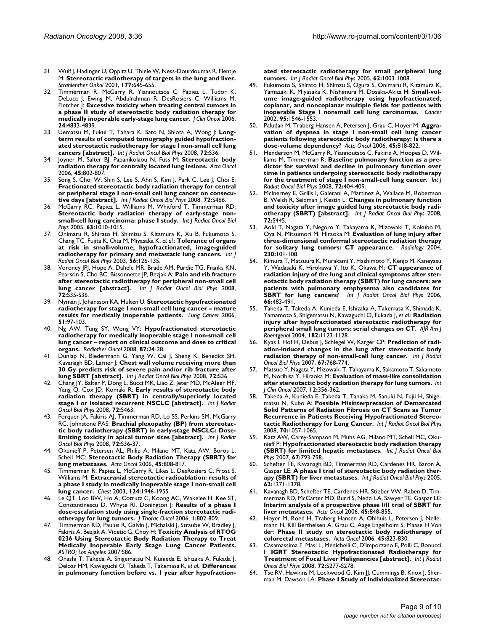- 31. Wulf J, Hadinger U, Oppitz U, Thiele W, Ness-Dourdoumas R, Flentje M: **[Stereotactic radiotherapy of targets in the lung and liver.](http://www.ncbi.nlm.nih.gov/entrez/query.fcgi?cmd=Retrieve&db=PubMed&dopt=Abstract&list_uids=11789403)** *Strahlenther Onkol* 2001, **177:**645-655.
- 32. Timmerman R, McGarry R, Yiannoutsos C, Papiez L, Tudor K, DeLuca J, Ewing M, Abdulrahman R, DesRosiers C, Williams M, Fletcher J: **[Excessive toxicity when treating central tumors in](http://www.ncbi.nlm.nih.gov/entrez/query.fcgi?cmd=Retrieve&db=PubMed&dopt=Abstract&list_uids=17050868) [a phase II study of stereotactic body radiation therapy for](http://www.ncbi.nlm.nih.gov/entrez/query.fcgi?cmd=Retrieve&db=PubMed&dopt=Abstract&list_uids=17050868) [medically inoperable early-stage lung cancer.](http://www.ncbi.nlm.nih.gov/entrez/query.fcgi?cmd=Retrieve&db=PubMed&dopt=Abstract&list_uids=17050868)** *J Clin Oncol* 2006, **24:**4833-4839.
- 33. Uematsu M, Fukui T, Tahara K, Sato N, Shiota A, Wong J: **Longterm results of computed tomography guided hypofractionated stereotactic radiotherapy for stage I non-small cell lung cancers [abstract].** *Int J Radiat Oncol Biol Phys* 2008, **72:**S36.
- 34. Joyner M, Salter BJ, Papanikolaou N, Fuss M: **[Stereotactic body](http://www.ncbi.nlm.nih.gov/entrez/query.fcgi?cmd=Retrieve&db=PubMed&dopt=Abstract&list_uids=16982543) [radiation therapy for centrally located lung lesions.](http://www.ncbi.nlm.nih.gov/entrez/query.fcgi?cmd=Retrieve&db=PubMed&dopt=Abstract&list_uids=16982543)** *Acta Oncol* 2006, **45:**802-807.
- 35. Song S, Choi W, Shin S, Lee S, Ahn S, Kim J, Park C, Lee J, Choi E: **Fractionated stereotactic body radiation therapy for central or peripheral stage I non-small cell lung cancer on consecutive days [abstract].** *Int J Radiat Oncol Biol Phys* 2008, **72:**S466.
- 36. McGarry RC, Papiez L, Williams M, Whitford T, Timmerman RD: **[Stereotactic body radiation therapy of early-stage non](http://www.ncbi.nlm.nih.gov/entrez/query.fcgi?cmd=Retrieve&db=PubMed&dopt=Abstract&list_uids=16115740)[small-cell lung carcinoma: phase I study.](http://www.ncbi.nlm.nih.gov/entrez/query.fcgi?cmd=Retrieve&db=PubMed&dopt=Abstract&list_uids=16115740)** *Int J Radiat Oncol Biol Phys* 2005, **63:**1010-1015.
- 37. Onimaru R, Shirato H, Shimizu S, Kitamura K, Xu B, Fukumoto S, Chang TC, Fujita K, Oita M, Miyasaka K, *et al.*: **[Tolerance of organs](http://www.ncbi.nlm.nih.gov/entrez/query.fcgi?cmd=Retrieve&db=PubMed&dopt=Abstract&list_uids=12694831) [at risk in small-volume, hypofractionated, image-guided](http://www.ncbi.nlm.nih.gov/entrez/query.fcgi?cmd=Retrieve&db=PubMed&dopt=Abstract&list_uids=12694831) [radiotherapy for primary and metastatic lung cancers.](http://www.ncbi.nlm.nih.gov/entrez/query.fcgi?cmd=Retrieve&db=PubMed&dopt=Abstract&list_uids=12694831)** *Int J Radiat Oncol Biol Phys* 2003, **56:**126-135.
- 38. Voroney JPJ, Hope A, Dahele MR, Brade AM, Purdie TG, Franks KN, Pearson S, Cho BC, Bissonnette JP, Bezjak A: **Pain and rib fracture after stereotactic radiotherapy for peripheral non-small cell lung cancer [abstract].** *Int J Radiat Oncol Biol Phys* 2008, **72:**S35-S36.
- 39. Nyman J, Johansson KA, Hulten U: **[Stereotactic hypofractionated](http://www.ncbi.nlm.nih.gov/entrez/query.fcgi?cmd=Retrieve&db=PubMed&dopt=Abstract&list_uids=16213059) [radiotherapy for stage I non-small cell lung cancer – mature](http://www.ncbi.nlm.nih.gov/entrez/query.fcgi?cmd=Retrieve&db=PubMed&dopt=Abstract&list_uids=16213059) [results for medically inoperable patients.](http://www.ncbi.nlm.nih.gov/entrez/query.fcgi?cmd=Retrieve&db=PubMed&dopt=Abstract&list_uids=16213059)** *Lung Cancer* 2006, **51:**97-103.
- 40. Ng AW, Tung SY, Wong VY: **[Hypofractionated stereotactic](http://www.ncbi.nlm.nih.gov/entrez/query.fcgi?cmd=Retrieve&db=PubMed&dopt=Abstract&list_uids=18334273) [radiotherapy for medically inoperable stage I non-small cell](http://www.ncbi.nlm.nih.gov/entrez/query.fcgi?cmd=Retrieve&db=PubMed&dopt=Abstract&list_uids=18334273) lung cancer – report on clinical outcome and dose to critical [organs.](http://www.ncbi.nlm.nih.gov/entrez/query.fcgi?cmd=Retrieve&db=PubMed&dopt=Abstract&list_uids=18334273)** *Radiother Oncol* 2008, **87:**24-28.
- 41. Dunlap N, Biedermann G, Yang W, Cai J, Sheng K, Benedict SH, Kavanagh BD, Larner J: **Chest wall volume receiving more than 30 Gy predicts risk of severe pain and/or rib fracture after lung SBRT [abstract].** *Int J Radiat Oncol Biol Phys* 2008, **72:**S36.
- 42. Chang JY, Balter P, Dong L, Bucci MK, Liao Z, Jeter MD, McAleer MF, Yang Q, Cox JD, Komaki R: **Early results of stereotactic body radiation therapy (SBRT) in centrally/superiorly located stage I or isolated recurrent NSCLC [abstract].** *Int J Radiat Oncol Biol Phys* 2008, **72:**S463.
- 43. Forquer JA, Fakiris AJ, Timmerman RD, Lo SS, Perkins SM, McGarry RC, Johnstone PAS: **Brachial plexopathy (BP) from stereotactic body radiotherapy (SBRT) in early-stage NSCLC: Doselimiting toxicity in apical tumor sites [abstract].** *Int J Radiat Oncol Biol Phys* 2008, **72:**S36-37.
- 44. Okunieff P, Petersen AL, Philip A, Milano MT, Katz AW, Boros L, Schell MC: **[Stereotactic Body Radiation Therapy \(SBRT\) for](http://www.ncbi.nlm.nih.gov/entrez/query.fcgi?cmd=Retrieve&db=PubMed&dopt=Abstract&list_uids=16982544) [lung metastases.](http://www.ncbi.nlm.nih.gov/entrez/query.fcgi?cmd=Retrieve&db=PubMed&dopt=Abstract&list_uids=16982544)** *Acta Oncol* 2006, **45:**808-817.
- 45. Timmerman R, Papiez L, McGarry R, Likes L, DesRosiers C, Frost S, Williams M: **[Extracranial stereotactic radioablation: results of](http://www.ncbi.nlm.nih.gov/entrez/query.fcgi?cmd=Retrieve&db=PubMed&dopt=Abstract&list_uids=14605072) [a phase I study in medically inoperable stage I non-small cell](http://www.ncbi.nlm.nih.gov/entrez/query.fcgi?cmd=Retrieve&db=PubMed&dopt=Abstract&list_uids=14605072) [lung cancer.](http://www.ncbi.nlm.nih.gov/entrez/query.fcgi?cmd=Retrieve&db=PubMed&dopt=Abstract&list_uids=14605072)** *Chest* 2003, **124:**1946-1955.
- 46. Le QT, Loo BW, Ho A, Cotrutz C, Koong AC, Wakelee H, Kee ST, Constantinescu D, Whyte RI, Donington J: **[Results of a phase I](http://www.ncbi.nlm.nih.gov/entrez/query.fcgi?cmd=Retrieve&db=PubMed&dopt=Abstract&list_uids=17409963) [dose-escalation study using single-fraction stereotactic radi](http://www.ncbi.nlm.nih.gov/entrez/query.fcgi?cmd=Retrieve&db=PubMed&dopt=Abstract&list_uids=17409963)[otherapy for lung tumors.](http://www.ncbi.nlm.nih.gov/entrez/query.fcgi?cmd=Retrieve&db=PubMed&dopt=Abstract&list_uids=17409963)** *J Thorac Oncol* 2006, **1:**802-809.
- Timmerman RD, Paulus R, Galvin J, Michalski J, Straube W, Bradley J, Fakiris A, Bezjak A, Videtic G, Choy H: **Toxicity Analysis of RTOG 0236 Using Stereotactic Body Radiation Therapy to Treat Medically Inoperable Early Stage Lung Cancer Patients.** *ASTRO; Los Angeles* 2007:S86.
- 48. Ohashi T, Takeda A, Shigematsu N, Kunieda E, Ishizaka A, Fukada J, Deloar HM, Kawaguchi O, Takeda T, Takemasa K, *et al.*: **[Differences](http://www.ncbi.nlm.nih.gov/entrez/query.fcgi?cmd=Retrieve&db=PubMed&dopt=Abstract&list_uids=15990001) [in pulmonary function before vs. 1 year after hypofraction-](http://www.ncbi.nlm.nih.gov/entrez/query.fcgi?cmd=Retrieve&db=PubMed&dopt=Abstract&list_uids=15990001)**

**[ated stereotactic radiotherapy for small peripheral lung](http://www.ncbi.nlm.nih.gov/entrez/query.fcgi?cmd=Retrieve&db=PubMed&dopt=Abstract&list_uids=15990001) [tumors.](http://www.ncbi.nlm.nih.gov/entrez/query.fcgi?cmd=Retrieve&db=PubMed&dopt=Abstract&list_uids=15990001)** *Int J Radiat Oncol Biol Phys* 2005, **62:**1003-1008.

- 49. Fukumoto S, Shirato H, Shimzu S, Ogura S, Onimaru R, Kitamura K, Yamazaki K, Miyasaka K, Nishimura M, Dosaka-Akita H: **[Small-vol](http://www.ncbi.nlm.nih.gov/entrez/query.fcgi?cmd=Retrieve&db=PubMed&dopt=Abstract&list_uids=12237924)[ume image-guided radiotherapy using hypofractionated,](http://www.ncbi.nlm.nih.gov/entrez/query.fcgi?cmd=Retrieve&db=PubMed&dopt=Abstract&list_uids=12237924) coplanar, and noncoplanar multiple fields for patients with [inoperable Stage I nonsmall cell lung carcinomas.](http://www.ncbi.nlm.nih.gov/entrez/query.fcgi?cmd=Retrieve&db=PubMed&dopt=Abstract&list_uids=12237924)** *Cancer* 2002, **95:**1546-1553.
- 50. Paludan M, Traberg Hansen A, Petersen J, Grau C, Hoyer M: **[Aggra](http://www.ncbi.nlm.nih.gov/entrez/query.fcgi?cmd=Retrieve&db=PubMed&dopt=Abstract&list_uids=16982545)[vation of dyspnea in stage I non-small cell lung cancer](http://www.ncbi.nlm.nih.gov/entrez/query.fcgi?cmd=Retrieve&db=PubMed&dopt=Abstract&list_uids=16982545) patients following stereotactic body radiotherapy: Is there a [dose-volume dependency?](http://www.ncbi.nlm.nih.gov/entrez/query.fcgi?cmd=Retrieve&db=PubMed&dopt=Abstract&list_uids=16982545)** *Acta Oncol* 2006, **45:**818-822.
- 51. Henderson M, McGarry R, Yiannoutsos C, Fakiris A, Hoopes D, Williams M, Timmerman R: **[Baseline pulmonary function as a pre](http://www.ncbi.nlm.nih.gov/entrez/query.fcgi?cmd=Retrieve&db=PubMed&dopt=Abstract&list_uids=18394819)[dictor for survival and decline in pulmonary function over](http://www.ncbi.nlm.nih.gov/entrez/query.fcgi?cmd=Retrieve&db=PubMed&dopt=Abstract&list_uids=18394819) time in patients undergoing stereotactic body radiotherapy [for the treatment of stage I non-small-cell lung cancer.](http://www.ncbi.nlm.nih.gov/entrez/query.fcgi?cmd=Retrieve&db=PubMed&dopt=Abstract&list_uids=18394819)** *Int J Radiat Oncol Biol Phys* 2008, **72:**404-409.
- 52. McInerney E, Grills I, Galerani A, Martinez A, Wallace M, Robertson B, Welsh R, Seidman J, Kestin L: **Changes in pulmonary function and toxicity after image guided lung stereotactic body radiotherapy (SBRT) [abstract].** *Int J Radiat Oncol Biol Phys* 2008, **72:**S445.
- 53. Aoki T, Nagata Y, Negoro Y, Takayama K, Mizowaki T, Kokubo M, Oya N, Mitsumori M, Hiraoka M: **[Evaluation of lung injury after](http://www.ncbi.nlm.nih.gov/entrez/query.fcgi?cmd=Retrieve&db=PubMed&dopt=Abstract&list_uids=14645881) [three-dimensional conformal stereotactic radiation therapy](http://www.ncbi.nlm.nih.gov/entrez/query.fcgi?cmd=Retrieve&db=PubMed&dopt=Abstract&list_uids=14645881) [for solitary lung tumors: CT appearance.](http://www.ncbi.nlm.nih.gov/entrez/query.fcgi?cmd=Retrieve&db=PubMed&dopt=Abstract&list_uids=14645881)** *Radiology* 2004, **230:**101-108.
- 54. Kimura T, Matsuura K, Murakami Y, Hashimoto Y, Kenjo M, Kaneyasu Y, Wadasaki K, Hirokawa Y, Ito K, Okawa M: **[CT appearance of](http://www.ncbi.nlm.nih.gov/entrez/query.fcgi?cmd=Retrieve&db=PubMed&dopt=Abstract&list_uids=16904838) radiation injury of the lung and clinical symptoms after ster[eotactic body radiation therapy \(SBRT\) for lung cancers: are](http://www.ncbi.nlm.nih.gov/entrez/query.fcgi?cmd=Retrieve&db=PubMed&dopt=Abstract&list_uids=16904838) patients with pulmonary emphysema also candidates for [SBRT for lung cancers?](http://www.ncbi.nlm.nih.gov/entrez/query.fcgi?cmd=Retrieve&db=PubMed&dopt=Abstract&list_uids=16904838)** *Int J Radiat Oncol Biol Phys* 2006, **66:**483-491.
- 55. Takeda T, Takeda A, Kunieda E, Ishizaka A, Takemasa K, Shimada K, Yamamoto S, Shigematsu N, Kawaguchi O, Fukada J, *et al.*: **[Radiation](http://www.ncbi.nlm.nih.gov/entrez/query.fcgi?cmd=Retrieve&db=PubMed&dopt=Abstract&list_uids=15100106) [injury after hypofractionated stereotactic radiotherapy for](http://www.ncbi.nlm.nih.gov/entrez/query.fcgi?cmd=Retrieve&db=PubMed&dopt=Abstract&list_uids=15100106) [peripheral small lung tumors: serial changes on CT.](http://www.ncbi.nlm.nih.gov/entrez/query.fcgi?cmd=Retrieve&db=PubMed&dopt=Abstract&list_uids=15100106)** *AJR Am J Roentgenol* 2004, **182:**1123-1128.
- Kyas I, Hof H, Debus J, Schlegel W, Karger CP: [Prediction of radi](http://www.ncbi.nlm.nih.gov/entrez/query.fcgi?cmd=Retrieve&db=PubMed&dopt=Abstract&list_uids=17097829)**[ation-induced changes in the lung after stereotactic body](http://www.ncbi.nlm.nih.gov/entrez/query.fcgi?cmd=Retrieve&db=PubMed&dopt=Abstract&list_uids=17097829) [radiation therapy of non-small-cell lung cancer.](http://www.ncbi.nlm.nih.gov/entrez/query.fcgi?cmd=Retrieve&db=PubMed&dopt=Abstract&list_uids=17097829)** *Int J Radiat Oncol Biol Phys* 2007, **67:**768-774.
- 57. Matsuo Y, Nagata Y, Mizowaki T, Takayama K, Sakamoto T, Sakamoto M, Norihisa Y, Hiraoka M: **[Evaluation of mass-like consolidation](http://www.ncbi.nlm.nih.gov/entrez/query.fcgi?cmd=Retrieve&db=PubMed&dopt=Abstract&list_uids=17929117) [after stereotactic body radiation therapy for lung tumors.](http://www.ncbi.nlm.nih.gov/entrez/query.fcgi?cmd=Retrieve&db=PubMed&dopt=Abstract&list_uids=17929117)** *Int J Clin Oncol* 2007, **12:**356-362.
- Takeda A, Kunieda E, Takeda T, Tanaka M, Sanuki N, Fujii H, Shigematsu N, Kubo A: **[Possible Misinterpretation of Demarcated](http://www.ncbi.nlm.nih.gov/entrez/query.fcgi?cmd=Retrieve&db=PubMed&dopt=Abstract&list_uids=17905527) [Solid Patterns of Radiation Fibrosis on CT Scans as Tumor](http://www.ncbi.nlm.nih.gov/entrez/query.fcgi?cmd=Retrieve&db=PubMed&dopt=Abstract&list_uids=17905527) Recurrence in Patients Receiving Hypofractionated Stereo[tactic Radiotherapy for Lung Cancer.](http://www.ncbi.nlm.nih.gov/entrez/query.fcgi?cmd=Retrieve&db=PubMed&dopt=Abstract&list_uids=17905527)** *Int J Radiat Oncol Biol Phys* 2008, **70:**1057-1065.
- 59. Katz AW, Carey-Sampson M, Muhs AG, Milano MT, Schell MC, Okunieff P: **[Hypofractionated stereotactic body radiation therapy](http://www.ncbi.nlm.nih.gov/entrez/query.fcgi?cmd=Retrieve&db=PubMed&dopt=Abstract&list_uids=17197128) [\(SBRT\) for limited hepatic metastases.](http://www.ncbi.nlm.nih.gov/entrez/query.fcgi?cmd=Retrieve&db=PubMed&dopt=Abstract&list_uids=17197128)** *Int J Radiat Oncol Biol Phys* 2007, **67:**793-798.
- 60. Schefter TE, Kavanagh BD, Timmerman RD, Cardenes HR, Baron A, Gaspar LE: **[A phase I trial of stereotactic body radiation ther](http://www.ncbi.nlm.nih.gov/entrez/query.fcgi?cmd=Retrieve&db=PubMed&dopt=Abstract&list_uids=16029795)[apy \(SBRT\) for liver metastases.](http://www.ncbi.nlm.nih.gov/entrez/query.fcgi?cmd=Retrieve&db=PubMed&dopt=Abstract&list_uids=16029795)** *Int J Radiat Oncol Biol Phys* 2005, **62:**1371-1378.
- 61. Kavanagh BD, Schefter TE, Cardenes HR, Stieber VW, Raben D, Timmerman RD, McCarter MD, Burri S, Nedzi LA, Sawyer TE, Gaspar LE: **[Interim analysis of a prospective phase I/II trial of SBRT for](http://www.ncbi.nlm.nih.gov/entrez/query.fcgi?cmd=Retrieve&db=PubMed&dopt=Abstract&list_uids=16982549) [liver metastases.](http://www.ncbi.nlm.nih.gov/entrez/query.fcgi?cmd=Retrieve&db=PubMed&dopt=Abstract&list_uids=16982549)** *Acta Oncol* 2006, **45:**848-855.
- Hoyer M, Roed H, Traberg Hansen A, Ohlhuis L, Petersen J, Nellemann H, Kiil Berthelsen A, Grau C, Aage Engelholm S, Maase H Von der: **[Phase II study on stereotactic body radiotherapy of](http://www.ncbi.nlm.nih.gov/entrez/query.fcgi?cmd=Retrieve&db=PubMed&dopt=Abstract&list_uids=16982546) [colorectal metastases.](http://www.ncbi.nlm.nih.gov/entrez/query.fcgi?cmd=Retrieve&db=PubMed&dopt=Abstract&list_uids=16982546)** *Acta Oncol* 2006, **45:**823-830.
- 63. Casamassima F, Masi L, Menichelli C, D'Imporzano E, Polli C, Bonucci I: **IGRT Stereotactic Hypofractionated Radiotherapy for Treatment of Focal Liver Malignancies [abstract].** *Int J Radiat Oncol Biol Phys* 2008, **72:**S277-S278.
- 64. Tse RV, Hawkins M, Lockwood G, Kim JJ, Cummings B, Knox J, Sherman M, Dawson LA: **[Phase I Study of Individualized Stereotac](http://www.ncbi.nlm.nih.gov/entrez/query.fcgi?cmd=Retrieve&db=PubMed&dopt=Abstract&list_uids=18172187)-**